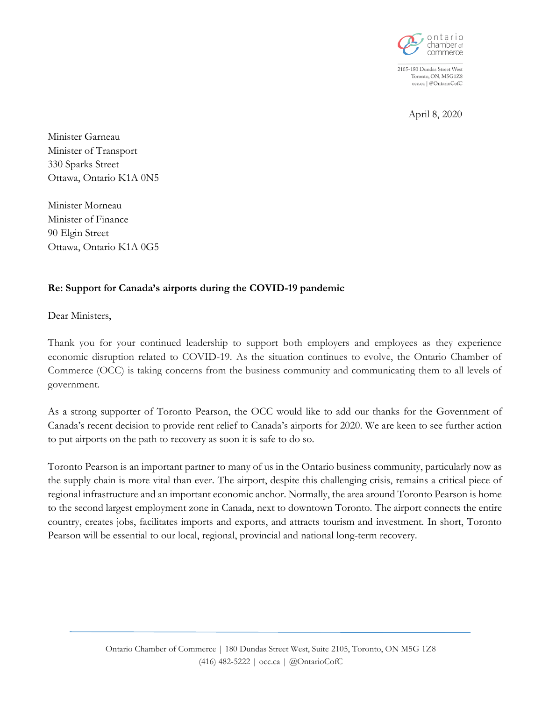

2105-180 Dundas Street West Toronto, ON, M5G1Z8 occ.ca | @OntarioCofC

April 8, 2020

Minister Garneau Minister of Transport 330 Sparks Street Ottawa, Ontario K1A 0N5

Minister Morneau Minister of Finance 90 Elgin Street Ottawa, Ontario K1A 0G5

## **Re: Support for Canada's airports during the COVID-19 pandemic**

Dear Ministers,

Thank you for your continued leadership to support both employers and employees as they experience economic disruption related to COVID-19. As the situation continues to evolve, the Ontario Chamber of Commerce (OCC) is taking concerns from the business community and communicating them to all levels of government.

As a strong supporter of Toronto Pearson, the OCC would like to add our thanks for the Government of Canada's recent decision to provide rent relief to Canada's airports for 2020. We are keen to see further action to put airports on the path to recovery as soon it is safe to do so.

Toronto Pearson is an important partner to many of us in the Ontario business community, particularly now as the supply chain is more vital than ever. The airport, despite this challenging crisis, remains a critical piece of regional infrastructure and an important economic anchor. Normally, the area around Toronto Pearson is home to the second largest employment zone in Canada, next to downtown Toronto. The airport connects the entire country, creates jobs, facilitates imports and exports, and attracts tourism and investment. In short, Toronto Pearson will be essential to our local, regional, provincial and national long-term recovery.